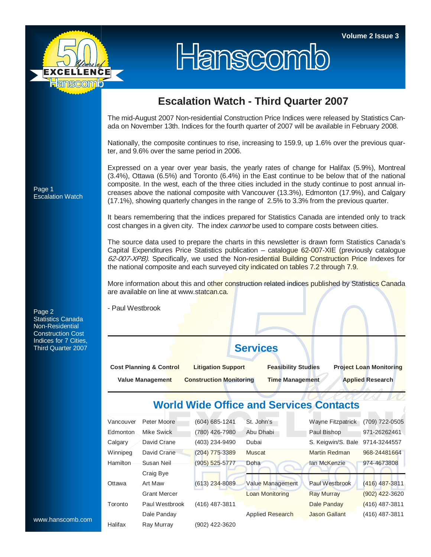

## Hanscomb

## **Escalation Watch - Third Quarter 2007**

The mid-August 2007 Non-residential Construction Price Indices were released by Statistics Canada on November 13th. Indices for the fourth quarter of 2007 will be available in February 2008.

Nationally, the composite continues to rise, increasing to 159.9, up 1.6% over the previous quarter, and 9.6% over the same period in 2006.

Expressed on a year over year basis, the yearly rates of change for Halifax (5.9%), Montreal (3.4%), Ottawa (6.5%) and Toronto (6.4%) in the East continue to be below that of the national composite. In the west, each of the three cities included in the study continue to post annual increases above the national composite with Vancouver (13.3%), Edmonton (17.9%), and Calgary (17.1%), showing quarterly changes in the range of 2.5% to 3.3% from the previous quarter.

It bears remembering that the indices prepared for Statistics Canada are intended only to track cost changes in a given city. The index *cannot* be used to compare costs between cities.

The source data used to prepare the charts in this newsletter is drawn form Statistics Canada's Capital Expenditures Price Statistics publication – catalogue 62-007-XIE (previously catalogue 62-007-XPB). Specifically, we used the Non-residential Building Construction Price Indexes for the national composite and each surveyed city indicated on tables 7.2 through 7.9.

More information about this and other construction related indices published by Statistics Canada are available on line at www.statcan.ca.

- Paul Westbrook

**Services** 

| <b>Cost Planning &amp; Control</b> | <b>Litigation Support</b>      | <b>Feasibility Studies</b> | <b>Project Loan Monitoring</b> |  |  |
|------------------------------------|--------------------------------|----------------------------|--------------------------------|--|--|
| <b>Value Management</b>            | <b>Construction Monitoring</b> | Time Management            | <b>Applied Research</b>        |  |  |

## **World Wide Office and Services Contacts**

|                  | Vancouver | Peter Moore         | (604) 685-1241     | St. John's              | Wayne Fitzpatrick     | (709) 722-0505   |
|------------------|-----------|---------------------|--------------------|-------------------------|-----------------------|------------------|
|                  | Edmonton  | Mike Swick          | (780) 426-7980     | Abu Dhabi               | Paul Bishop           | 971-26262461     |
|                  | Calgary   | David Crane         | (403) 234-9490     | Dubai                   | S. Keigwin/S. Bale    | 9714-3244557     |
|                  | Winnipeg  | David Crane         | $(204)$ 775-3389   | Muscat                  | Martin Redman         | 968-24481664     |
|                  | Hamilton  | Susan Neil          | $(905) 525 - 5777$ | Doha                    | lan McKenzie          | 974-4673808      |
|                  |           | Craig Bye           |                    |                         |                       |                  |
|                  | Ottawa    | Art Maw             | $(613)$ 234-8089   | Value Management        | <b>Paul Westbrook</b> | $(416)$ 487-3811 |
|                  |           | <b>Grant Mercer</b> |                    | <b>Loan Monitoring</b>  | <b>Ray Murray</b>     | $(902)$ 422-3620 |
|                  | Toronto   | Paul Westbrook      | $(416)$ 487-3811   |                         | Dale Panday           | $(416)$ 487-3811 |
|                  |           | Dale Panday         |                    | <b>Applied Research</b> | <b>Jason Gallant</b>  | $(416)$ 487-3811 |
| www.hanscomb.com | Halifax   | Ray Murray          | (902) 422-3620     |                         |                       |                  |

Page 1 Escalation Watch

Page 2 Statistics Canada Non-Residential Construction Cost Indices for 7 Cities, Third Quarter 2007